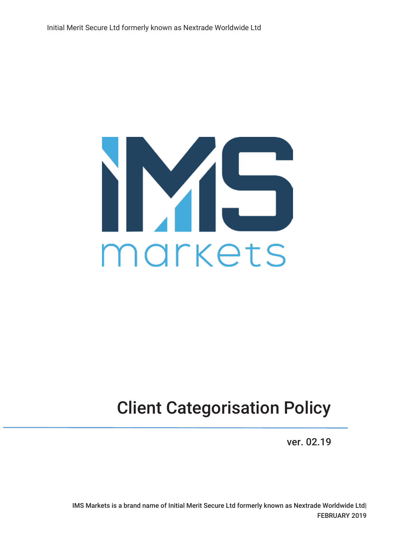

# Client Categorisation Policy

ver. 02.19

IMS Markets is a brand name of Initial Merit Secure Ltd formerly known as Nextrade Worldwide Ltd| FEBRUARY 2019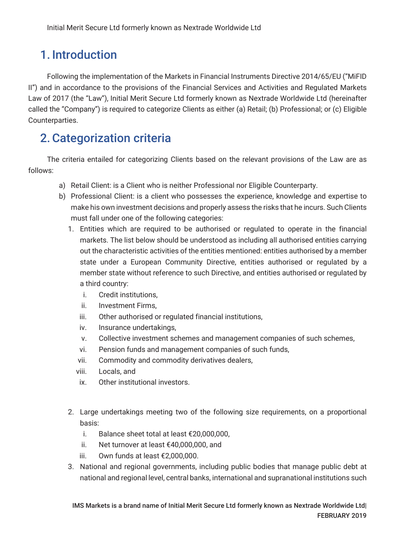## 1. Introduction

Following the implementation of the Markets in Financial Instruments Directive 2014/65/EU ("MiFID II") and in accordance to the provisions of the Financial Services and Activities and Regulated Markets Law of 2017 (the "Law"), Initial Merit Secure Ltd formerly known as Nextrade Worldwide Ltd (hereinafter called the "Company") is required to categorize Clients as either (a) Retail; (b) Professional; or (c) Eligible Counterparties.

#### 2.Categorization criteria

The criteria entailed for categorizing Clients based on the relevant provisions of the Law are as follows:

- a) Retail Client: is a Client who is neither Professional nor Eligible Counterparty.
- b) Professional Client: is a client who possesses the experience, knowledge and expertise to make his own investment decisions and properly assess the risks that he incurs. Such Clients must fall under one of the following categories:
	- 1. Entities which are required to be authorised or regulated to operate in the financial markets. The list below should be understood as including all authorised entities carrying out the characteristic activities of the entities mentioned: entities authorised by a member state under a European Community Directive, entities authorised or regulated by a member state without reference to such Directive, and entities authorised or regulated by a third country:
		- i. Credit institutions,
		- ii. Investment Firms,
		- iii. Other authorised or regulated financial institutions,
		- iv. Insurance undertakings,
		- v. Collective investment schemes and management companies of such schemes,
		- vi. Pension funds and management companies of such funds,
		- vii. Commodity and commodity derivatives dealers,
		- viii. Locals, and
		- ix. Other institutional investors.
	- 2. Large undertakings meeting two of the following size requirements, on a proportional basis:
		- i. Balance sheet total at least €20,000,000,
		- ii. Net turnover at least €40,000,000, and
		- iii. Own funds at least €2,000,000.
	- 3. National and regional governments, including public bodies that manage public debt at national and regional level, central banks, international and supranational institutions such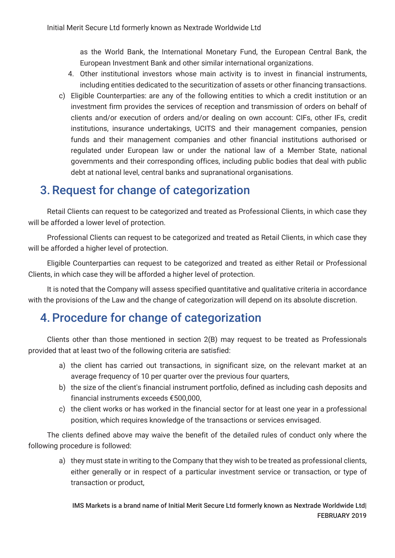as the World Bank, the International Monetary Fund, the European Central Bank, the European Investment Bank and other similar international organizations.

- 4. Other institutional investors whose main activity is to invest in financial instruments, including entities dedicated to the securitization of assets or other financing transactions.
- c) Eligible Counterparties: are any of the following entities to which a credit institution or an investment firm provides the services of reception and transmission of orders on behalf of clients and/or execution of orders and/or dealing on own account: CIFs, other IFs, credit institutions, insurance undertakings, UCITS and their management companies, pension funds and their management companies and other financial institutions authorised or regulated under European law or under the national law of a Member State, national governments and their corresponding offices, including public bodies that deal with public debt at national level, central banks and supranational organisations.

### 3.Request for change of categorization

Retail Clients can request to be categorized and treated as Professional Clients, in which case they will be afforded a lower level of protection.

Professional Clients can request to be categorized and treated as Retail Clients, in which case they will be afforded a higher level of protection.

Eligible Counterparties can request to be categorized and treated as either Retail or Professional Clients, in which case they will be afforded a higher level of protection.

It is noted that the Company will assess specified quantitative and qualitative criteria in accordance with the provisions of the Law and the change of categorization will depend on its absolute discretion.

### 4.Procedure for change of categorization

Clients other than those mentioned in section 2(B) may request to be treated as Professionals provided that at least two of the following criteria are satisfied:

- a) the client has carried out transactions, in significant size, on the relevant market at an average frequency of 10 per quarter over the previous four quarters,
- b) the size of the client's financial instrument portfolio, defined as including cash deposits and financial instruments exceeds €500,000,
- c) the client works or has worked in the financial sector for at least one year in a professional position, which requires knowledge of the transactions or services envisaged.

The clients defined above may waive the benefit of the detailed rules of conduct only where the following procedure is followed:

a) they must state in writing to the Company that they wish to be treated as professional clients, either generally or in respect of a particular investment service or transaction, or type of transaction or product,

IMS Markets is a brand name of Initial Merit Secure Ltd formerly known as Nextrade Worldwide Ltd| FEBRUARY 2019